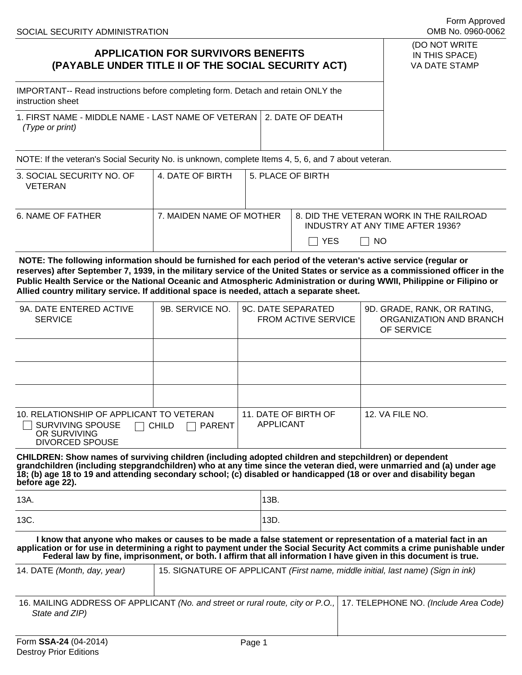## (DO NOT WRITE IN THIS SPACE)

Form Approved

VA DATE STAMP

IMPORTANT-- Read instructions before completing form. Detach and retain ONLY the instruction sheet

| 1. FIRST NAME - MIDDLE NAME - LAST NAME OF VETERAN   2. DATE OF DEATH |  |
|-----------------------------------------------------------------------|--|
| (Type or print)                                                       |  |

NOTE: If the veteran's Social Security No. is unknown, complete Items 4, 5, 6, and 7 about veteran.

| 3. SOCIAL SECURITY NO. OF<br>VETERAN | 4. DATE OF BIRTH         | 5. PLACE OF BIRTH |                                                                                                |  |
|--------------------------------------|--------------------------|-------------------|------------------------------------------------------------------------------------------------|--|
| 6. NAME OF FATHER                    | 7. MAIDEN NAME OF MOTHER |                   | 8. DID THE VETERAN WORK IN THE RAILROAD<br>INDUSTRY AT ANY TIME AFTER 1936?<br>IIYES<br>I I NO |  |

**NOTE: The following information should be furnished for each period of the veteran's active service (regular or reserves) after September 7, 1939, in the military service of the United States or service as a commissioned officer in the Public Health Service or the National Oceanic and Atmospheric Administration or during WWII, Philippine or Filipino or Allied country military service. If additional space is needed, attach a separate sheet.** 

| 9A. DATE ENTERED ACTIVE<br><b>SERVICE</b>                                                                                        | 9B. SERVICE NO. | 9C. DATE SEPARATED<br><b>FROM ACTIVE SERVICE</b> | 9D. GRADE, RANK, OR RATING,<br>ORGANIZATION AND BRANCH<br>OF SERVICE |
|----------------------------------------------------------------------------------------------------------------------------------|-----------------|--------------------------------------------------|----------------------------------------------------------------------|
|                                                                                                                                  |                 |                                                  |                                                                      |
|                                                                                                                                  |                 |                                                  |                                                                      |
|                                                                                                                                  |                 |                                                  |                                                                      |
| 10. RELATIONSHIP OF APPLICANT TO VETERAN<br>SURVIVING SPOUSE<br>$\Box$ child<br><b>PARENT</b><br>OR SURVIVING<br>DIVORCED SPOUSE |                 | 11. DATE OF BIRTH OF<br>APPLICANT                | 12. VA FILE NO.                                                      |

**CHILDREN: Show names of surviving children (including adopted children and stepchildren) or dependent grandchildren (including stepgrandchildren) who at any time since the veteran died, were unmarried and (a) under age 18; (b) age 18 to 19 and attending secondary school; (c) disabled or handicapped (18 or over and disability began before age 22).** 

| 13A. | 13B. |
|------|------|
| 13C. | 13D. |

**I know that anyone who makes or causes to be made a false statement or representation of a material fact in an application or for use in determining a right to payment under the Social Security Act commits a crime punishable under Federal law by fine, imprisonment, or both. I affirm that all information I have given in this document is true.** 

| 14. DATE (Month, day, year) | 15. SIGNATURE OF APPLICANT (First name, middle initial, last name) (Sign in ink)                                     |  |
|-----------------------------|----------------------------------------------------------------------------------------------------------------------|--|
| State and ZIP)              | 16. MAILING ADDRESS OF APPLICANT (No. and street or rural route, city or P.O., 17. TELEPHONE NO. (Include Area Code) |  |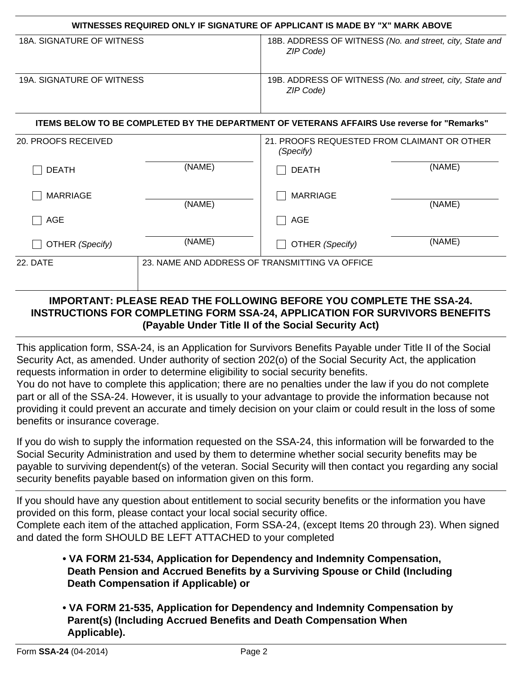| WITNESSES REQUIRED ONLY IF SIGNATURE OF APPLICANT IS MADE BY "X" MARK ABOVE |                                                |                                                                                             |        |
|-----------------------------------------------------------------------------|------------------------------------------------|---------------------------------------------------------------------------------------------|--------|
| <b>18A. SIGNATURE OF WITNESS</b>                                            |                                                | 18B. ADDRESS OF WITNESS (No. and street, city, State and<br>ZIP Code)                       |        |
| 19A. SIGNATURE OF WITNESS                                                   |                                                | 19B. ADDRESS OF WITNESS (No. and street, city, State and<br>ZIP Code)                       |        |
|                                                                             |                                                | ITEMS BELOW TO BE COMPLETED BY THE DEPARTMENT OF VETERANS AFFAIRS Use reverse for "Remarks" |        |
| 20. PROOFS RECEIVED                                                         |                                                | 21. PROOFS REQUESTED FROM CLAIMANT OR OTHER<br>(Specify)                                    |        |
| <b>DEATH</b>                                                                | (NAME)                                         | <b>DEATH</b>                                                                                | (NAME) |
| <b>MARRIAGE</b>                                                             | (NAME)                                         | <b>MARRIAGE</b>                                                                             | (NAME) |
| <b>AGE</b>                                                                  |                                                | AGE                                                                                         |        |
| OTHER (Specify)                                                             | (NAME)                                         | OTHER (Specify)                                                                             | (NAME) |
| 22. DATE                                                                    | 23. NAME AND ADDRESS OF TRANSMITTING VA OFFICE |                                                                                             |        |

## **IMPORTANT: PLEASE READ THE FOLLOWING BEFORE YOU COMPLETE THE SSA-24. INSTRUCTIONS FOR COMPLETING FORM SSA-24, APPLICATION FOR SURVIVORS BENEFITS (Payable Under Title II of the Social Security Act)**

This application form, SSA-24, is an Application for Survivors Benefits Payable under Title II of the Social Security Act, as amended. Under authority of section 202(o) of the Social Security Act, the application requests information in order to determine eligibility to social security benefits.

You do not have to complete this application; there are no penalties under the law if you do not complete part or all of the SSA-24. However, it is usually to your advantage to provide the information because not providing it could prevent an accurate and timely decision on your claim or could result in the loss of some benefits or insurance coverage.

If you do wish to supply the information requested on the SSA-24, this information will be forwarded to the Social Security Administration and used by them to determine whether social security benefits may be payable to surviving dependent(s) of the veteran. Social Security will then contact you regarding any social security benefits payable based on information given on this form.

If you should have any question about entitlement to social security benefits or the information you have provided on this form, please contact your local social security office.

Complete each item of the attached application, Form SSA-24, (except Items 20 through 23). When signed and dated the form SHOULD BE LEFT ATTACHED to your completed

## **• VA FORM 21-534, Application for Dependency and Indemnity Compensation, Death Pension and Accrued Benefits by a Surviving Spouse or Child (Including Death Compensation if Applicable) or**

**• VA FORM 21-535, Application for Dependency and Indemnity Compensation by Parent(s) (Including Accrued Benefits and Death Compensation When Applicable).**